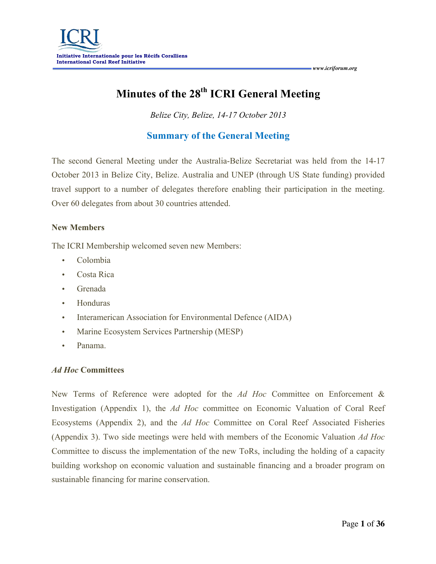# **Minutes of the 28th ICRI General Meeting**

*Belize City, Belize, 14-17 October 2013*

# **Summary of the General Meeting**

The second General Meeting under the Australia-Belize Secretariat was held from the 14-17 October 2013 in Belize City, Belize. Australia and UNEP (through US State funding) provided travel support to a number of delegates therefore enabling their participation in the meeting. Over 60 delegates from about 30 countries attended.

# **New Members**

The ICRI Membership welcomed seven new Members:

- Colombia
- Costa Rica
- Grenada
- Honduras
- Interamerican Association for Environmental Defence (AIDA)
- Marine Ecosystem Services Partnership (MESP)
- Panama.

# *Ad Hoc* **Committees**

New Terms of Reference were adopted for the *Ad Hoc* Committee on Enforcement & Investigation (Appendix 1), the *Ad Hoc* committee on Economic Valuation of Coral Reef Ecosystems (Appendix 2), and the *Ad Hoc* Committee on Coral Reef Associated Fisheries (Appendix 3). Two side meetings were held with members of the Economic Valuation *Ad Hoc* Committee to discuss the implementation of the new ToRs, including the holding of a capacity building workshop on economic valuation and sustainable financing and a broader program on sustainable financing for marine conservation.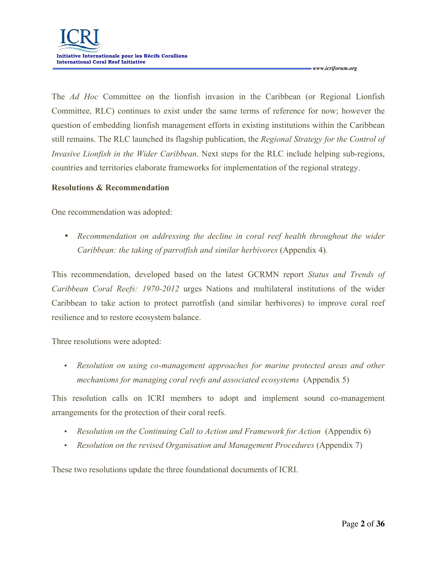The *Ad Hoc* Committee on the lionfish invasion in the Caribbean (or Regional Lionfish Committee, RLC) continues to exist under the same terms of reference for now; however the question of embedding lionfish management efforts in existing institutions within the Caribbean still remains. The RLC launched its flagship publication, the *Regional Strategy for the Control of Invasive Lionfish in the Wider Caribbean*. Next steps for the RLC include helping sub-regions, countries and territories elaborate frameworks for implementation of the regional strategy.

## **Resolutions & Recommendation**

One recommendation was adopted:

• *Recommendation on addressing the decline in coral reef health throughout the wider Caribbean: the taking of parrotfish and similar herbivores* (Appendix 4)*.* 

This recommendation, developed based on the latest GCRMN report *Status and Trends of Caribbean Coral Reefs: 1970-2012* urges Nations and multilateral institutions of the wider Caribbean to take action to protect parrotfish (and similar herbivores) to improve coral reef resilience and to restore ecosystem balance.

Three resolutions were adopted:

• *Resolution on using co-management approaches for marine protected areas and other mechanisms for managing coral reefs and associated ecosystems* (Appendix 5)

This resolution calls on ICRI members to adopt and implement sound co-management arrangements for the protection of their coral reefs.

- *Resolution on the Continuing Call to Action and Framework for Action* (Appendix 6)
- *Resolution on the revised Organisation and Management Procedures* (Appendix 7)

These two resolutions update the three foundational documents of ICRI.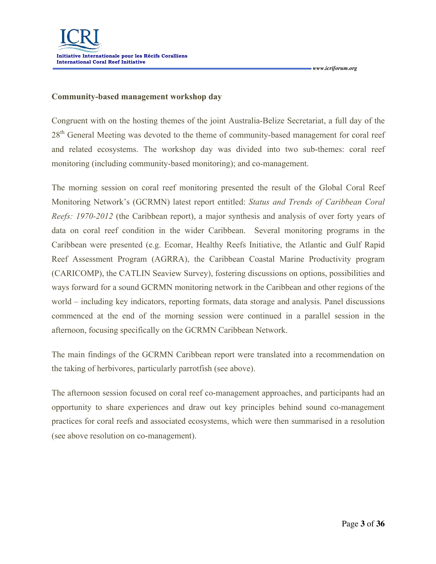## **Community-based management workshop day**

Congruent with on the hosting themes of the joint Australia-Belize Secretariat, a full day of the 28<sup>th</sup> General Meeting was devoted to the theme of community-based management for coral reef and related ecosystems. The workshop day was divided into two sub-themes: coral reef monitoring (including community-based monitoring); and co-management.

The morning session on coral reef monitoring presented the result of the Global Coral Reef Monitoring Network's (GCRMN) latest report entitled: *Status and Trends of Caribbean Coral Reefs: 1970-2012* (the Caribbean report), a major synthesis and analysis of over forty years of data on coral reef condition in the wider Caribbean. Several monitoring programs in the Caribbean were presented (e.g. Ecomar, Healthy Reefs Initiative, the Atlantic and Gulf Rapid Reef Assessment Program (AGRRA), the Caribbean Coastal Marine Productivity program (CARICOMP), the CATLIN Seaview Survey), fostering discussions on options, possibilities and ways forward for a sound GCRMN monitoring network in the Caribbean and other regions of the world – including key indicators, reporting formats, data storage and analysis. Panel discussions commenced at the end of the morning session were continued in a parallel session in the afternoon, focusing specifically on the GCRMN Caribbean Network.

The main findings of the GCRMN Caribbean report were translated into a recommendation on the taking of herbivores, particularly parrotfish (see above).

The afternoon session focused on coral reef co-management approaches, and participants had an opportunity to share experiences and draw out key principles behind sound co-management practices for coral reefs and associated ecosystems, which were then summarised in a resolution (see above resolution on co-management).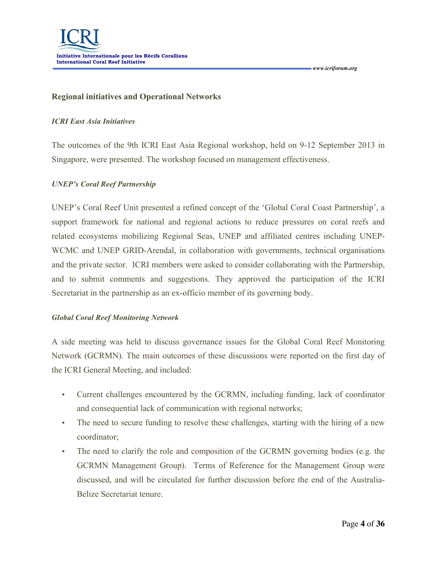## **Regional initiatives and Operational Networks**

#### *ICRI East Asia Initiatives*

The outcomes of the 9th ICRI East Asia Regional workshop, held on 9-12 September 2013 in Singapore, were presented. The workshop focused on management effectiveness.

## *UNEP's Coral Reef Partnership*

UNEP's Coral Reef Unit presented a refined concept of the 'Global Coral Coast Partnership', a support framework for national and regional actions to reduce pressures on coral reefs and related ecosystems mobilizing Regional Seas, UNEP and affiliated centres including UNEP-WCMC and UNEP GRID-Arendal, in collaboration with governments, technical organisations and the private sector. ICRI members were asked to consider collaborating with the Partnership, and to submit comments and suggestions. They approved the participation of the ICRI Secretariat in the partnership as an ex-officio member of its governing body.

## *Global Coral Reef Monitoring Network*

A side meeting was held to discuss governance issues for the Global Coral Reef Monitoring Network (GCRMN). The main outcomes of these discussions were reported on the first day of the ICRI General Meeting, and included:

- Current challenges encountered by the GCRMN, including funding, lack of coordinator and consequential lack of communication with regional networks;
- The need to secure funding to resolve these challenges, starting with the hiring of a new coordinator;
- The need to clarify the role and composition of the GCRMN governing bodies (e.g. the GCRMN Management Group). Terms of Reference for the Management Group were discussed, and will be circulated for further discussion before the end of the Australia-Belize Secretariat tenure.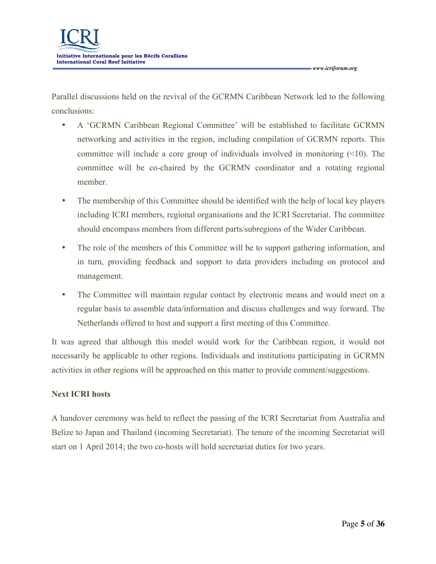Parallel discussions held on the revival of the GCRMN Caribbean Network led to the following conclusions:

- A 'GCRMN Caribbean Regional Committee' will be established to facilitate GCRMN networking and activities in the region, including compilation of GCRMN reports. This committee will include a core group of individuals involved in monitoring (<10). The committee will be co-chaired by the GCRMN coordinator and a rotating regional member.
- The membership of this Committee should be identified with the help of local key players including ICRI members, regional organisations and the ICRI Secretariat. The committee should encompass members from different parts/subregions of the Wider Caribbean.
- The role of the members of this Committee will be to support gathering information, and in turn, providing feedback and support to data providers including on protocol and management.
- The Committee will maintain regular contact by electronic means and would meet on a regular basis to assemble data/information and discuss challenges and way forward. The Netherlands offered to host and support a first meeting of this Committee.

It was agreed that although this model would work for the Caribbean region, it would not necessarily be applicable to other regions. Individuals and institutions participating in GCRMN activities in other regions will be approached on this matter to provide comment/suggestions.

# **Next ICRI hosts**

A handover ceremony was held to reflect the passing of the ICRI Secretariat from Australia and Belize to Japan and Thailand (incoming Secretariat). The tenure of the incoming Secretariat will start on 1 April 2014; the two co-hosts will hold secretariat duties for two years.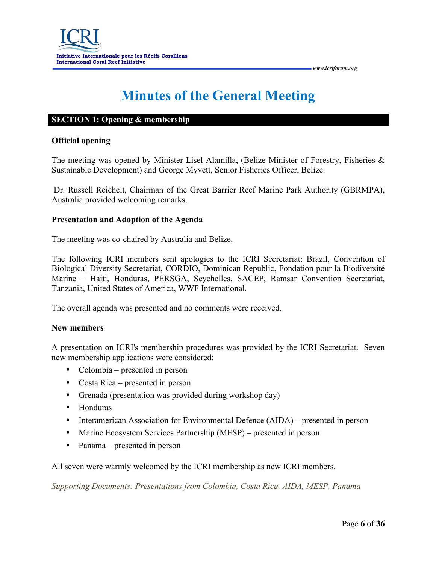# **Minutes of the General Meeting**

#### **SECTION 1: Opening & membership**

#### **Official opening**

The meeting was opened by Minister Lisel Alamilla, (Belize Minister of Forestry, Fisheries & Sustainable Development) and George Myvett, Senior Fisheries Officer, Belize.

Dr. Russell Reichelt, Chairman of the Great Barrier Reef Marine Park Authority (GBRMPA), Australia provided welcoming remarks.

#### **Presentation and Adoption of the Agenda**

The meeting was co-chaired by Australia and Belize.

The following ICRI members sent apologies to the ICRI Secretariat: Brazil, Convention of Biological Diversity Secretariat, CORDIO, Dominican Republic, Fondation pour la Biodiversité Marine – Haiti, Honduras, PERSGA, Seychelles, SACEP, Ramsar Convention Secretariat, Tanzania, United States of America, WWF International.

The overall agenda was presented and no comments were received.

#### **New members**

A presentation on ICRI's membership procedures was provided by the ICRI Secretariat. Seven new membership applications were considered:

- Colombia presented in person
- Costa Rica presented in person
- Grenada (presentation was provided during workshop day)
- Honduras
- Interamerican Association for Environmental Defence (AIDA) presented in person
- Marine Ecosystem Services Partnership (MESP) presented in person
- Panama presented in person

All seven were warmly welcomed by the ICRI membership as new ICRI members.

*Supporting Documents: Presentations from Colombia, Costa Rica, AIDA, MESP, Panama*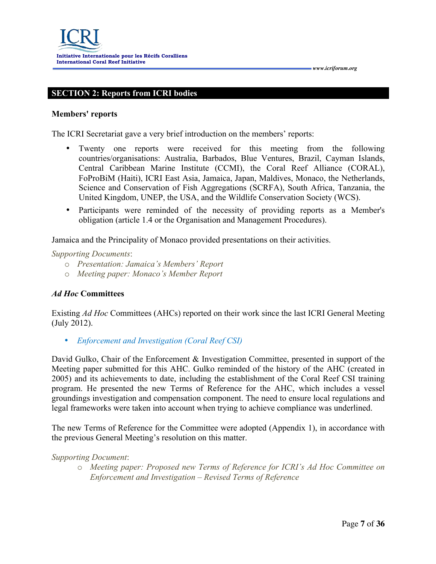# **SECTION 2: Reports from ICRI bodies**

#### **Members' reports**

The ICRI Secretariat gave a very brief introduction on the members' reports:

- Twenty one reports were received for this meeting from the following countries/organisations: Australia, Barbados, Blue Ventures, Brazil, Cayman Islands, Central Caribbean Marine Institute (CCMI), the Coral Reef Alliance (CORAL), FoProBiM (Haiti), ICRI East Asia, Jamaica, Japan, Maldives, Monaco, the Netherlands, Science and Conservation of Fish Aggregations (SCRFA), South Africa, Tanzania, the United Kingdom, UNEP, the USA, and the Wildlife Conservation Society (WCS).
- Participants were reminded of the necessity of providing reports as a Member's obligation (article 1.4 or the Organisation and Management Procedures).

Jamaica and the Principality of Monaco provided presentations on their activities.

*Supporting Documents*:

- o *Presentation: Jamaica's Members' Report*
- o *Meeting paper: Monaco's Member Report*

## *Ad Hoc* **Committees**

Existing *Ad Hoc* Committees (AHCs) reported on their work since the last ICRI General Meeting (July 2012).

• *Enforcement and Investigation (Coral Reef CSI)*

David Gulko, Chair of the Enforcement & Investigation Committee, presented in support of the Meeting paper submitted for this AHC. Gulko reminded of the history of the AHC (created in 2005) and its achievements to date, including the establishment of the Coral Reef CSI training program. He presented the new Terms of Reference for the AHC, which includes a vessel groundings investigation and compensation component. The need to ensure local regulations and legal frameworks were taken into account when trying to achieve compliance was underlined.

The new Terms of Reference for the Committee were adopted (Appendix 1), in accordance with the previous General Meeting's resolution on this matter.

#### *Supporting Document*:

o *Meeting paper: Proposed new Terms of Reference for ICRI's Ad Hoc Committee on Enforcement and Investigation – Revised Terms of Reference*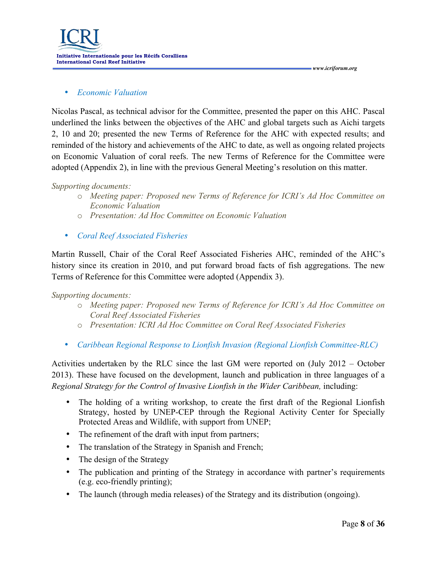**Initiative Internationale pour les Récifs Coralliens International Coral Reef Initiative**

## • *Economic Valuation*

Nicolas Pascal, as technical advisor for the Committee, presented the paper on this AHC. Pascal underlined the links between the objectives of the AHC and global targets such as Aichi targets 2, 10 and 20; presented the new Terms of Reference for the AHC with expected results; and reminded of the history and achievements of the AHC to date, as well as ongoing related projects on Economic Valuation of coral reefs. The new Terms of Reference for the Committee were adopted (Appendix 2), in line with the previous General Meeting's resolution on this matter.

 *www.icriforum.org* 

## *Supporting documents:*

- o *Meeting paper: Proposed new Terms of Reference for ICRI's Ad Hoc Committee on Economic Valuation*
- o *Presentation: Ad Hoc Committee on Economic Valuation*
- *Coral Reef Associated Fisheries*

Martin Russell, Chair of the Coral Reef Associated Fisheries AHC, reminded of the AHC's history since its creation in 2010, and put forward broad facts of fish aggregations. The new Terms of Reference for this Committee were adopted (Appendix 3).

## *Supporting documents:*

- o *Meeting paper: Proposed new Terms of Reference for ICRI's Ad Hoc Committee on Coral Reef Associated Fisheries*
- o *Presentation: ICRI Ad Hoc Committee on Coral Reef Associated Fisheries*
- *Caribbean Regional Response to Lionfish Invasion (Regional Lionfish Committee-RLC)*

Activities undertaken by the RLC since the last GM were reported on (July 2012 – October 2013). These have focused on the development, launch and publication in three languages of a *Regional Strategy for the Control of Invasive Lionfish in the Wider Caribbean,* including:

- The holding of a writing workshop, to create the first draft of the Regional Lionfish Strategy, hosted by UNEP-CEP through the Regional Activity Center for Specially Protected Areas and Wildlife, with support from UNEP;
- The refinement of the draft with input from partners;
- The translation of the Strategy in Spanish and French;
- The design of the Strategy
- The publication and printing of the Strategy in accordance with partner's requirements (e.g. eco-friendly printing);
- The launch (through media releases) of the Strategy and its distribution (ongoing).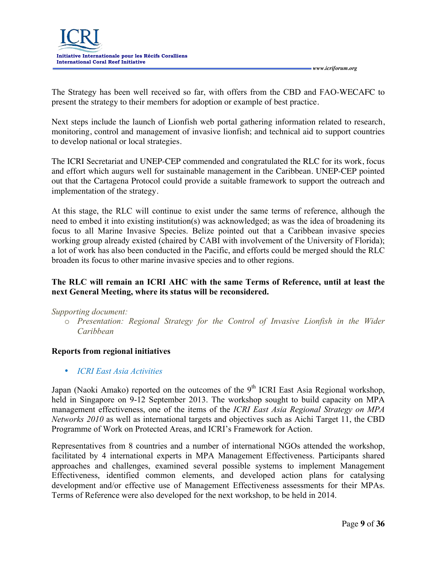

The Strategy has been well received so far, with offers from the CBD and FAO-WECAFC to present the strategy to their members for adoption or example of best practice.

Next steps include the launch of Lionfish web portal gathering information related to research, monitoring, control and management of invasive lionfish; and technical aid to support countries to develop national or local strategies.

The ICRI Secretariat and UNEP-CEP commended and congratulated the RLC for its work, focus and effort which augurs well for sustainable management in the Caribbean. UNEP-CEP pointed out that the Cartagena Protocol could provide a suitable framework to support the outreach and implementation of the strategy.

At this stage, the RLC will continue to exist under the same terms of reference, although the need to embed it into existing institution(s) was acknowledged; as was the idea of broadening its focus to all Marine Invasive Species. Belize pointed out that a Caribbean invasive species working group already existed (chaired by CABI with involvement of the University of Florida); a lot of work has also been conducted in the Pacific, and efforts could be merged should the RLC broaden its focus to other marine invasive species and to other regions.

# **The RLC will remain an ICRI AHC with the same Terms of Reference, until at least the next General Meeting, where its status will be reconsidered.**

## *Supporting document:*

o *Presentation: Regional Strategy for the Control of Invasive Lionfish in the Wider Caribbean*

## **Reports from regional initiatives**

• *ICRI East Asia Activities*

Japan (Naoki Amako) reported on the outcomes of the  $9<sup>th</sup> ICRI$  East Asia Regional workshop, held in Singapore on 9-12 September 2013. The workshop sought to build capacity on MPA management effectiveness, one of the items of the *ICRI East Asia Regional Strategy on MPA Networks 2010* as well as international targets and objectives such as Aichi Target 11, the CBD Programme of Work on Protected Areas, and ICRI's Framework for Action.

Representatives from 8 countries and a number of international NGOs attended the workshop, facilitated by 4 international experts in MPA Management Effectiveness. Participants shared approaches and challenges, examined several possible systems to implement Management Effectiveness, identified common elements, and developed action plans for catalysing development and/or effective use of Management Effectiveness assessments for their MPAs. Terms of Reference were also developed for the next workshop, to be held in 2014.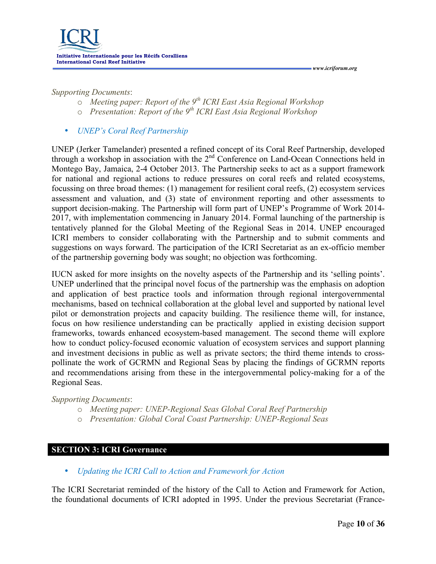#### *Supporting Documents*:

o *Meeting paper: Report of the 9th ICRI East Asia Regional Workshop*

 *www.icriforum.org* 

- o *Presentation: Report of the 9th ICRI East Asia Regional Workshop*
- *UNEP's Coral Reef Partnership*

UNEP (Jerker Tamelander) presented a refined concept of its Coral Reef Partnership, developed through a workshop in association with the 2<sup>nd</sup> Conference on Land-Ocean Connections held in Montego Bay, Jamaica, 2-4 October 2013. The Partnership seeks to act as a support framework for national and regional actions to reduce pressures on coral reefs and related ecosystems, focussing on three broad themes: (1) management for resilient coral reefs, (2) ecosystem services assessment and valuation, and (3) state of environment reporting and other assessments to support decision-making. The Partnership will form part of UNEP's Programme of Work 2014- 2017, with implementation commencing in January 2014. Formal launching of the partnership is tentatively planned for the Global Meeting of the Regional Seas in 2014. UNEP encouraged ICRI members to consider collaborating with the Partnership and to submit comments and suggestions on ways forward. The participation of the ICRI Secretariat as an ex-officio member of the partnership governing body was sought; no objection was forthcoming.

IUCN asked for more insights on the novelty aspects of the Partnership and its 'selling points'. UNEP underlined that the principal novel focus of the partnership was the emphasis on adoption and application of best practice tools and information through regional intergovernmental mechanisms, based on technical collaboration at the global level and supported by national level pilot or demonstration projects and capacity building. The resilience theme will, for instance, focus on how resilience understanding can be practically applied in existing decision support frameworks, towards enhanced ecosystem-based management. The second theme will explore how to conduct policy-focused economic valuation of ecosystem services and support planning and investment decisions in public as well as private sectors; the third theme intends to crosspollinate the work of GCRMN and Regional Seas by placing the findings of GCRMN reports and recommendations arising from these in the intergovernmental policy-making for a of the Regional Seas.

*Supporting Documents*:

- o *Meeting paper: UNEP-Regional Seas Global Coral Reef Partnership*
- o *Presentation: Global Coral Coast Partnership: UNEP-Regional Seas*

## **SECTION 3: ICRI Governance**

• *Updating the ICRI Call to Action and Framework for Action* 

The ICRI Secretariat reminded of the history of the Call to Action and Framework for Action, the foundational documents of ICRI adopted in 1995. Under the previous Secretariat (France-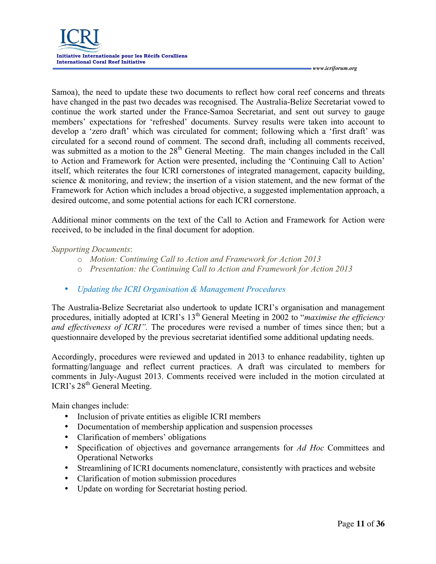

Samoa), the need to update these two documents to reflect how coral reef concerns and threats have changed in the past two decades was recognised. The Australia-Belize Secretariat vowed to continue the work started under the France-Samoa Secretariat, and sent out survey to gauge members' expectations for 'refreshed' documents. Survey results were taken into account to develop a 'zero draft' which was circulated for comment; following which a 'first draft' was circulated for a second round of comment. The second draft, including all comments received, was submitted as a motion to the 28<sup>th</sup> General Meeting. The main changes included in the Call to Action and Framework for Action were presented, including the 'Continuing Call to Action' itself, which reiterates the four ICRI cornerstones of integrated management, capacity building, science & monitoring, and review; the insertion of a vision statement, and the new format of the Framework for Action which includes a broad objective, a suggested implementation approach, a desired outcome, and some potential actions for each ICRI cornerstone.

Additional minor comments on the text of the Call to Action and Framework for Action were received, to be included in the final document for adoption.

#### *Supporting Documents*:

- o *Motion: Continuing Call to Action and Framework for Action 2013*
- o *Presentation: the Continuing Call to Action and Framework for Action 2013*
- *Updating the ICRI Organisation & Management Procedures*

The Australia-Belize Secretariat also undertook to update ICRI's organisation and management procedures, initially adopted at ICRI's 13<sup>th</sup> General Meeting in 2002 to "*maximise the efficiency and effectiveness of ICRI"*. The procedures were revised a number of times since then; but a questionnaire developed by the previous secretariat identified some additional updating needs.

Accordingly, procedures were reviewed and updated in 2013 to enhance readability, tighten up formatting/language and reflect current practices. A draft was circulated to members for comments in July-August 2013. Comments received were included in the motion circulated at ICRI's 28<sup>th</sup> General Meeting.

Main changes include:

- Inclusion of private entities as eligible ICRI members
- Documentation of membership application and suspension processes
- Clarification of members' obligations
- Specification of objectives and governance arrangements for *Ad Hoc* Committees and Operational Networks
- Streamlining of ICRI documents nomenclature, consistently with practices and website
- Clarification of motion submission procedures
- Update on wording for Secretariat hosting period.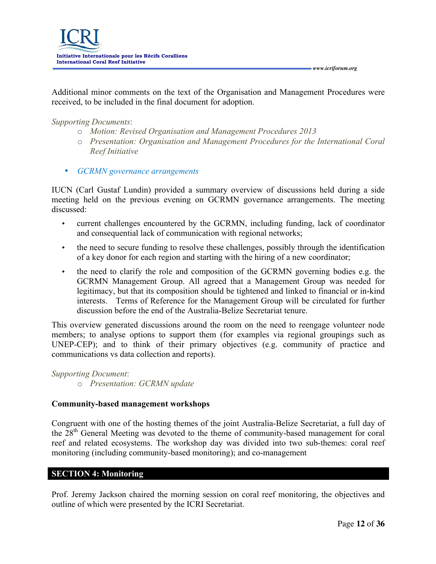Additional minor comments on the text of the Organisation and Management Procedures were received, to be included in the final document for adoption.

*Supporting Documents*:

- o *Motion: Revised Organisation and Management Procedures 2013*
- o *Presentation: Organisation and Management Procedures for the International Coral Reef Initiative*
- *GCRMN governance arrangements*

IUCN (Carl Gustaf Lundin) provided a summary overview of discussions held during a side meeting held on the previous evening on GCRMN governance arrangements. The meeting discussed:

- current challenges encountered by the GCRMN, including funding, lack of coordinator and consequential lack of communication with regional networks;
- the need to secure funding to resolve these challenges, possibly through the identification of a key donor for each region and starting with the hiring of a new coordinator;
- the need to clarify the role and composition of the GCRMN governing bodies e.g. the GCRMN Management Group. All agreed that a Management Group was needed for legitimacy, but that its composition should be tightened and linked to financial or in-kind interests. Terms of Reference for the Management Group will be circulated for further discussion before the end of the Australia-Belize Secretariat tenure.

This overview generated discussions around the room on the need to reengage volunteer node members; to analyse options to support them (for examples via regional groupings such as UNEP-CEP); and to think of their primary objectives (e.g. community of practice and communications vs data collection and reports).

*Supporting Document*: o *Presentation: GCRMN update*

# **Community-based management workshops**

Congruent with one of the hosting themes of the joint Australia-Belize Secretariat, a full day of the 28<sup>th</sup> General Meeting was devoted to the theme of community-based management for coral reef and related ecosystems. The workshop day was divided into two sub-themes: coral reef monitoring (including community-based monitoring); and co-management

# **SECTION 4: Monitoring**

Prof. Jeremy Jackson chaired the morning session on coral reef monitoring, the objectives and outline of which were presented by the ICRI Secretariat.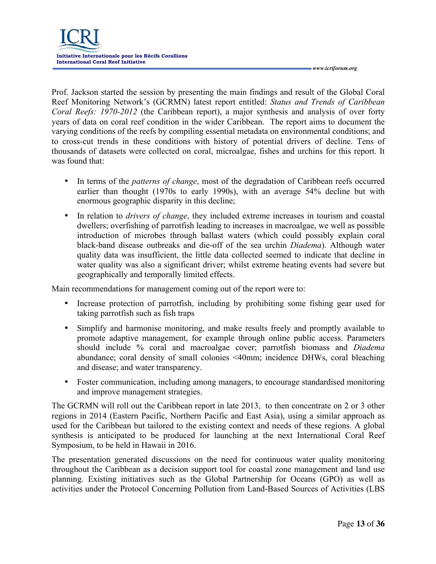Prof. Jackson started the session by presenting the main findings and result of the Global Coral Reef Monitoring Network's (GCRMN) latest report entitled: *Status and Trends of Caribbean Coral Reefs: 1970-2012* (the Caribbean report), a major synthesis and analysis of over forty years of data on coral reef condition in the wider Caribbean. The report aims to document the varying conditions of the reefs by compiling essential metadata on environmental conditions; and to cross-cut trends in these conditions with history of potential drivers of decline. Tens of thousands of datasets were collected on coral, microalgae, fishes and urchins for this report. It was found that:

- In terms of the *patterns of change*, most of the degradation of Caribbean reefs occurred earlier than thought (1970s to early 1990s), with an average 54% decline but with enormous geographic disparity in this decline;
- In relation to *drivers of change*, they included extreme increases in tourism and coastal dwellers; overfishing of parrotfish leading to increases in macroalgae, we well as possible introduction of microbes through ballast waters (which could possibly explain coral black-band disease outbreaks and die-off of the sea urchin *Diadema*). Although water quality data was insufficient, the little data collected seemed to indicate that decline in water quality was also a significant driver; whilst extreme heating events had severe but geographically and temporally limited effects.

Main recommendations for management coming out of the report were to:

- Increase protection of parrotfish, including by prohibiting some fishing gear used for taking parrotfish such as fish traps
- Simplify and harmonise monitoring, and make results freely and promptly available to promote adaptive management, for example through online public access. Parameters should include % coral and macroalgae cover; parrotfish biomass and *Diadema* abundance; coral density of small colonies <40mm; incidence DHWs, coral bleaching and disease; and water transparency.
- Foster communication, including among managers, to encourage standardised monitoring and improve management strategies.

The GCRMN will roll out the Caribbean report in late 2013, to then concentrate on 2 or 3 other regions in 2014 (Eastern Pacific, Northern Pacific and East Asia), using a similar approach as used for the Caribbean but tailored to the existing context and needs of these regions. A global synthesis is anticipated to be produced for launching at the next International Coral Reef Symposium, to be held in Hawaii in 2016.

The presentation generated discussions on the need for continuous water quality monitoring throughout the Caribbean as a decision support tool for coastal zone management and land use planning. Existing initiatives such as the Global Partnership for Oceans (GPO) as well as activities under the Protocol Concerning Pollution from Land-Based Sources of Activities (LBS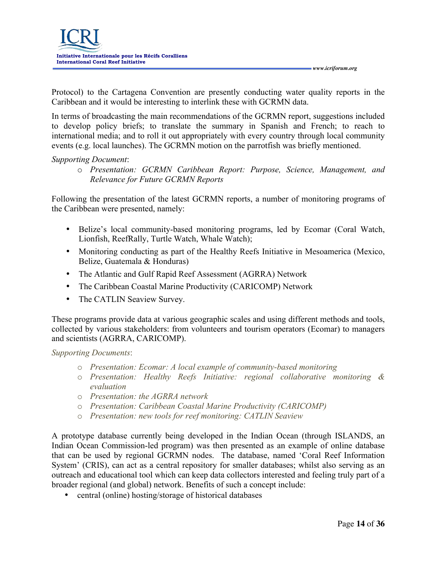Protocol) to the Cartagena Convention are presently conducting water quality reports in the Caribbean and it would be interesting to interlink these with GCRMN data.

In terms of broadcasting the main recommendations of the GCRMN report, suggestions included to develop policy briefs; to translate the summary in Spanish and French; to reach to international media; and to roll it out appropriately with every country through local community events (e.g. local launches). The GCRMN motion on the parrotfish was briefly mentioned.

#### *Supporting Document*:

o *Presentation: GCRMN Caribbean Report: Purpose, Science, Management, and Relevance for Future GCRMN Reports*

Following the presentation of the latest GCRMN reports, a number of monitoring programs of the Caribbean were presented, namely:

- Belize's local community-based monitoring programs, led by Ecomar (Coral Watch, Lionfish, ReefRally, Turtle Watch, Whale Watch);
- Monitoring conducting as part of the Healthy Reefs Initiative in Mesoamerica (Mexico, Belize, Guatemala & Honduras)
- The Atlantic and Gulf Rapid Reef Assessment (AGRRA) Network
- The Caribbean Coastal Marine Productivity (CARICOMP) Network
- The CATLIN Seaview Survey.

These programs provide data at various geographic scales and using different methods and tools, collected by various stakeholders: from volunteers and tourism operators (Ecomar) to managers and scientists (AGRRA, CARICOMP).

*Supporting Documents*:

- o *Presentation: Ecomar: A local example of community-based monitoring*
- o *Presentation: Healthy Reefs Initiative: regional collaborative monitoring & evaluation*
- o *Presentation: the AGRRA network*
- o *Presentation: Caribbean Coastal Marine Productivity (CARICOMP)*
- o *Presentation: new tools for reef monitoring: CATLIN Seaview*

A prototype database currently being developed in the Indian Ocean (through ISLANDS, an Indian Ocean Commission-led program) was then presented as an example of online database that can be used by regional GCRMN nodes. The database, named 'Coral Reef Information System' (CRIS), can act as a central repository for smaller databases; whilst also serving as an outreach and educational tool which can keep data collectors interested and feeling truly part of a broader regional (and global) network. Benefits of such a concept include:

• central (online) hosting/storage of historical databases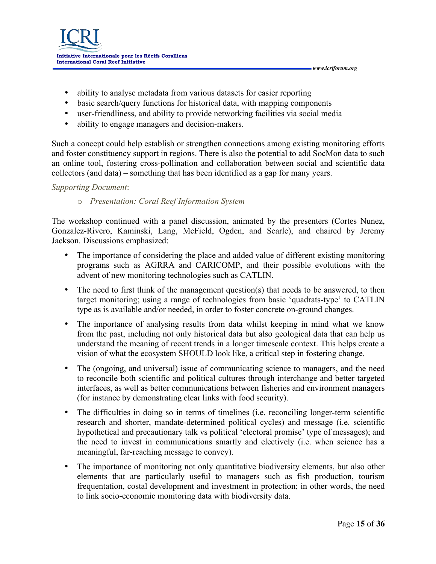- ability to analyse metadata from various datasets for easier reporting
- basic search/query functions for historical data, with mapping components
- user-friendliness, and ability to provide networking facilities via social media
- ability to engage managers and decision-makers.

Such a concept could help establish or strengthen connections among existing monitoring efforts and foster constituency support in regions. There is also the potential to add SocMon data to such an online tool, fostering cross-pollination and collaboration between social and scientific data collectors (and data) – something that has been identified as a gap for many years.

#### *Supporting Document*:

#### o *Presentation: Coral Reef Information System*

The workshop continued with a panel discussion, animated by the presenters (Cortes Nunez, Gonzalez-Rivero, Kaminski, Lang, McField, Ogden, and Searle), and chaired by Jeremy Jackson. Discussions emphasized:

- The importance of considering the place and added value of different existing monitoring programs such as AGRRA and CARICOMP, and their possible evolutions with the advent of new monitoring technologies such as CATLIN.
- The need to first think of the management question(s) that needs to be answered, to then target monitoring; using a range of technologies from basic 'quadrats-type' to CATLIN type as is available and/or needed, in order to foster concrete on-ground changes.
- The importance of analysing results from data whilst keeping in mind what we know from the past, including not only historical data but also geological data that can help us understand the meaning of recent trends in a longer timescale context. This helps create a vision of what the ecosystem SHOULD look like, a critical step in fostering change.
- The (ongoing, and universal) issue of communicating science to managers, and the need to reconcile both scientific and political cultures through interchange and better targeted interfaces, as well as better communications between fisheries and environment managers (for instance by demonstrating clear links with food security).
- The difficulties in doing so in terms of timelines (i.e. reconciling longer-term scientific research and shorter, mandate-determined political cycles) and message (i.e. scientific hypothetical and precautionary talk vs political 'electoral promise' type of messages); and the need to invest in communications smartly and electively (i.e. when science has a meaningful, far-reaching message to convey).
- The importance of monitoring not only quantitative biodiversity elements, but also other elements that are particularly useful to managers such as fish production, tourism frequentation, costal development and investment in protection; in other words, the need to link socio-economic monitoring data with biodiversity data.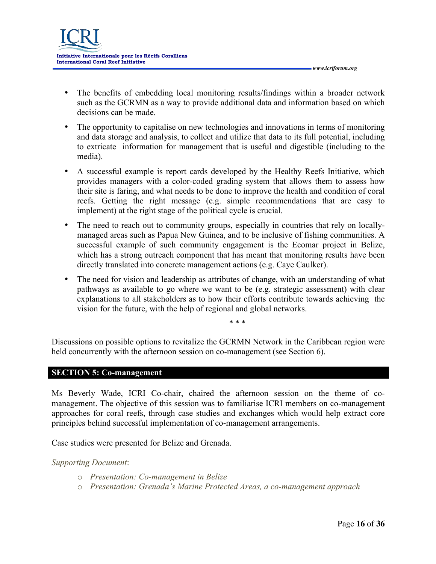

- The benefits of embedding local monitoring results/findings within a broader network such as the GCRMN as a way to provide additional data and information based on which decisions can be made.
- The opportunity to capitalise on new technologies and innovations in terms of monitoring and data storage and analysis, to collect and utilize that data to its full potential, including to extricate information for management that is useful and digestible (including to the media).
- A successful example is report cards developed by the Healthy Reefs Initiative, which provides managers with a color-coded grading system that allows them to assess how their site is faring, and what needs to be done to improve the health and condition of coral reefs. Getting the right message (e.g. simple recommendations that are easy to implement) at the right stage of the political cycle is crucial.
- The need to reach out to community groups, especially in countries that rely on locallymanaged areas such as Papua New Guinea, and to be inclusive of fishing communities. A successful example of such community engagement is the Ecomar project in Belize, which has a strong outreach component that has meant that monitoring results have been directly translated into concrete management actions (e.g. Caye Caulker).
- The need for vision and leadership as attributes of change, with an understanding of what pathways as available to go where we want to be (e.g. strategic assessment) with clear explanations to all stakeholders as to how their efforts contribute towards achieving the vision for the future, with the help of regional and global networks.

\* \* \*

Discussions on possible options to revitalize the GCRMN Network in the Caribbean region were held concurrently with the afternoon session on co-management (see Section 6).

# **SECTION 5: Co-management**

Ms Beverly Wade, ICRI Co-chair, chaired the afternoon session on the theme of comanagement. The objective of this session was to familiarise ICRI members on co-management approaches for coral reefs, through case studies and exchanges which would help extract core principles behind successful implementation of co-management arrangements.

Case studies were presented for Belize and Grenada.

*Supporting Document*:

- o *Presentation: Co-management in Belize*
- o *Presentation: Grenada's Marine Protected Areas, a co-management approach*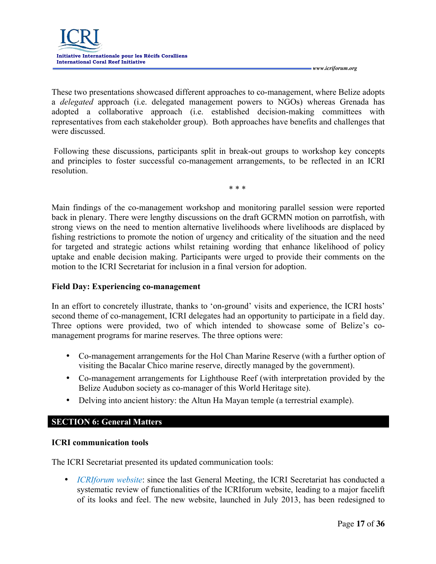

These two presentations showcased different approaches to co-management, where Belize adopts a *delegated* approach (i.e. delegated management powers to NGOs) whereas Grenada has adopted a collaborative approach (i.e. established decision-making committees with representatives from each stakeholder group). Both approaches have benefits and challenges that were discussed.

Following these discussions, participants split in break-out groups to workshop key concepts and principles to foster successful co-management arrangements, to be reflected in an ICRI resolution.

\* \* \*

Main findings of the co-management workshop and monitoring parallel session were reported back in plenary. There were lengthy discussions on the draft GCRMN motion on parrotfish, with strong views on the need to mention alternative livelihoods where livelihoods are displaced by fishing restrictions to promote the notion of urgency and criticality of the situation and the need for targeted and strategic actions whilst retaining wording that enhance likelihood of policy uptake and enable decision making. Participants were urged to provide their comments on the motion to the ICRI Secretariat for inclusion in a final version for adoption.

## **Field Day: Experiencing co-management**

In an effort to concretely illustrate, thanks to 'on-ground' visits and experience, the ICRI hosts' second theme of co-management, ICRI delegates had an opportunity to participate in a field day. Three options were provided, two of which intended to showcase some of Belize's comanagement programs for marine reserves. The three options were:

- Co-management arrangements for the Hol Chan Marine Reserve (with a further option of visiting the Bacalar Chico marine reserve, directly managed by the government).
- Co-management arrangements for Lighthouse Reef (with interpretation provided by the Belize Audubon society as co-manager of this World Heritage site).
- Delving into ancient history: the Altun Ha Mayan temple (a terrestrial example).

## **SECTION 6: General Matters**

## **ICRI communication tools**

The ICRI Secretariat presented its updated communication tools:

• *ICRIforum website*: since the last General Meeting, the ICRI Secretariat has conducted a systematic review of functionalities of the ICRIforum website, leading to a major facelift of its looks and feel. The new website, launched in July 2013, has been redesigned to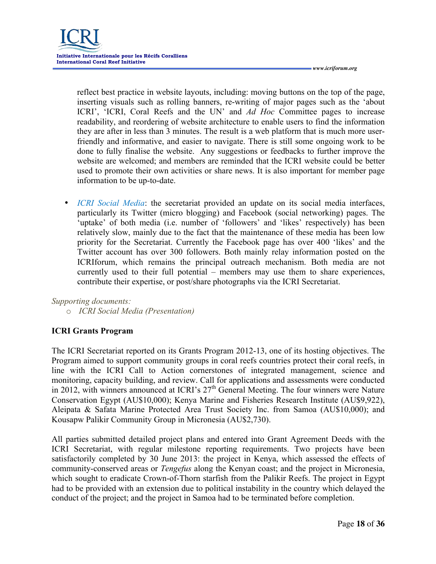reflect best practice in website layouts, including: moving buttons on the top of the page, inserting visuals such as rolling banners, re-writing of major pages such as the 'about ICRI', 'ICRI, Coral Reefs and the UN' and *Ad Hoc* Committee pages to increase readability, and reordering of website architecture to enable users to find the information they are after in less than 3 minutes. The result is a web platform that is much more userfriendly and informative, and easier to navigate. There is still some ongoing work to be done to fully finalise the website. Any suggestions or feedbacks to further improve the website are welcomed; and members are reminded that the ICRI website could be better used to promote their own activities or share news. It is also important for member page information to be up-to-date.

• *ICRI Social Media*: the secretariat provided an update on its social media interfaces, particularly its Twitter (micro blogging) and Facebook (social networking) pages. The 'uptake' of both media (i.e. number of 'followers' and 'likes' respectively) has been relatively slow, mainly due to the fact that the maintenance of these media has been low priority for the Secretariat. Currently the Facebook page has over 400 'likes' and the Twitter account has over 300 followers. Both mainly relay information posted on the ICRIforum, which remains the principal outreach mechanism. Both media are not currently used to their full potential – members may use them to share experiences, contribute their expertise, or post/share photographs via the ICRI Secretariat.

#### *Supporting documents:*

o *ICRI Social Media (Presentation)* 

## **ICRI Grants Program**

The ICRI Secretariat reported on its Grants Program 2012-13, one of its hosting objectives. The Program aimed to support community groups in coral reefs countries protect their coral reefs, in line with the ICRI Call to Action cornerstones of integrated management, science and monitoring, capacity building, and review. Call for applications and assessments were conducted in 2012, with winners announced at ICRI's  $27<sup>th</sup>$  General Meeting. The four winners were Nature Conservation Egypt (AU\$10,000); Kenya Marine and Fisheries Research Institute (AU\$9,922), Aleipata & Safata Marine Protected Area Trust Society Inc. from Samoa (AU\$10,000); and Kousapw Palikir Community Group in Micronesia (AU\$2,730).

All parties submitted detailed project plans and entered into Grant Agreement Deeds with the ICRI Secretariat, with regular milestone reporting requirements. Two projects have been satisfactorily completed by 30 June 2013: the project in Kenya, which assessed the effects of community-conserved areas or *Tengefus* along the Kenyan coast; and the project in Micronesia, which sought to eradicate Crown-of-Thorn starfish from the Palikir Reefs. The project in Egypt had to be provided with an extension due to political instability in the country which delayed the conduct of the project; and the project in Samoa had to be terminated before completion.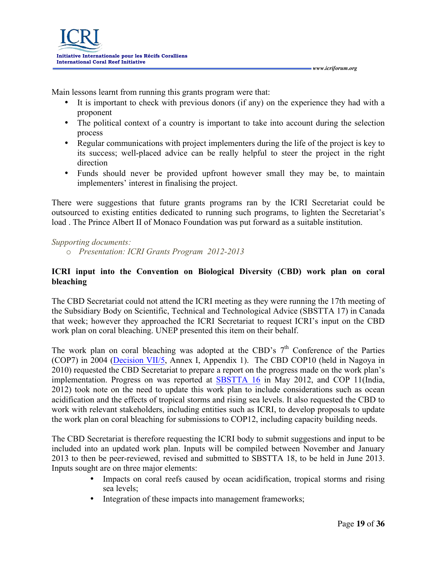Main lessons learnt from running this grants program were that:

- It is important to check with previous donors (if any) on the experience they had with a proponent
- The political context of a country is important to take into account during the selection process
- Regular communications with project implementers during the life of the project is key to its success; well-placed advice can be really helpful to steer the project in the right direction
- Funds should never be provided upfront however small they may be, to maintain implementers' interest in finalising the project.

There were suggestions that future grants programs ran by the ICRI Secretariat could be outsourced to existing entities dedicated to running such programs, to lighten the Secretariat's load . The Prince Albert II of Monaco Foundation was put forward as a suitable institution.

## *Supporting documents:*

o *Presentation: ICRI Grants Program 2012-2013* 

## **ICRI input into the Convention on Biological Diversity (CBD) work plan on coral bleaching**

The CBD Secretariat could not attend the ICRI meeting as they were running the 17th meeting of the Subsidiary Body on Scientific, Technical and Technological Advice (SBSTTA 17) in Canada that week; however they approached the ICRI Secretariat to request ICRI's input on the CBD work plan on coral bleaching. UNEP presented this item on their behalf.

The work plan on coral bleaching was adopted at the CBD's  $7<sup>th</sup>$  Conference of the Parties (COP7) in 2004 (Decision VII/5, Annex I, Appendix 1). The CBD COP10 (held in Nagoya in 2010) requested the CBD Secretariat to prepare a report on the progress made on the work plan's implementation. Progress on was reported at SBSTTA 16 in May 2012, and COP 11(India, 2012) took note on the need to update this work plan to include considerations such as ocean acidification and the effects of tropical storms and rising sea levels. It also requested the CBD to work with relevant stakeholders, including entities such as ICRI, to develop proposals to update the work plan on coral bleaching for submissions to COP12, including capacity building needs.

The CBD Secretariat is therefore requesting the ICRI body to submit suggestions and input to be included into an updated work plan. Inputs will be compiled between November and January 2013 to then be peer-reviewed, revised and submitted to SBSTTA 18, to be held in June 2013. Inputs sought are on three major elements:

- Impacts on coral reefs caused by ocean acidification, tropical storms and rising sea levels;
- Integration of these impacts into management frameworks;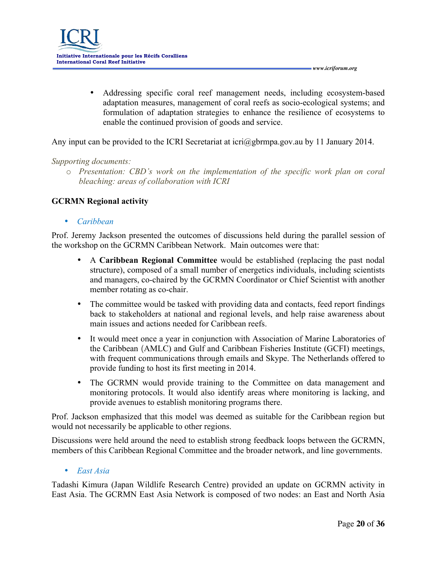• Addressing specific coral reef management needs, including ecosystem-based adaptation measures, management of coral reefs as socio-ecological systems; and formulation of adaptation strategies to enhance the resilience of ecosystems to enable the continued provision of goods and service.

Any input can be provided to the ICRI Secretariat at icri@gbrmpa.gov.au by 11 January 2014.

#### *Supporting documents:*

o *Presentation: CBD's work on the implementation of the specific work plan on coral bleaching: areas of collaboration with ICRI*

## **GCRMN Regional activity**

• *Caribbean* 

Prof. Jeremy Jackson presented the outcomes of discussions held during the parallel session of the workshop on the GCRMN Caribbean Network. Main outcomes were that:

- A **Caribbean Regional Committee** would be established (replacing the past nodal structure), composed of a small number of energetics individuals, including scientists and managers, co-chaired by the GCRMN Coordinator or Chief Scientist with another member rotating as co-chair.
- The committee would be tasked with providing data and contacts, feed report findings back to stakeholders at national and regional levels, and help raise awareness about main issues and actions needed for Caribbean reefs.
- It would meet once a year in conjunction with Association of Marine Laboratories of the Caribbean (AMLC) and Gulf and Caribbean Fisheries Institute (GCFI) meetings, with frequent communications through emails and Skype. The Netherlands offered to provide funding to host its first meeting in 2014.
- The GCRMN would provide training to the Committee on data management and monitoring protocols. It would also identify areas where monitoring is lacking, and provide avenues to establish monitoring programs there.

Prof. Jackson emphasized that this model was deemed as suitable for the Caribbean region but would not necessarily be applicable to other regions.

Discussions were held around the need to establish strong feedback loops between the GCRMN, members of this Caribbean Regional Committee and the broader network, and line governments.

• *East Asia*

Tadashi Kimura (Japan Wildlife Research Centre) provided an update on GCRMN activity in East Asia. The GCRMN East Asia Network is composed of two nodes: an East and North Asia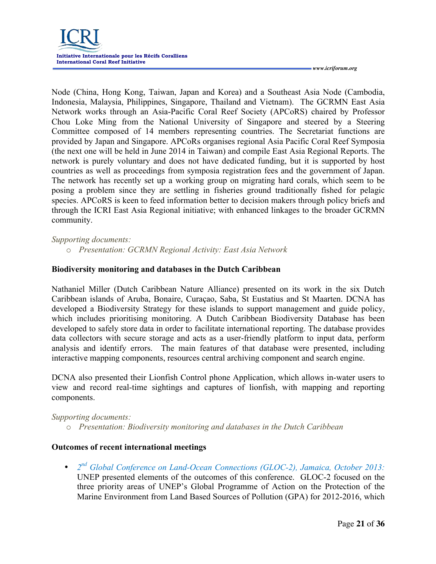

Node (China, Hong Kong, Taiwan, Japan and Korea) and a Southeast Asia Node (Cambodia, Indonesia, Malaysia, Philippines, Singapore, Thailand and Vietnam). The GCRMN East Asia Network works through an Asia-Pacific Coral Reef Society (APCoRS) chaired by Professor Chou Loke Ming from the National University of Singapore and steered by a Steering Committee composed of 14 members representing countries. The Secretariat functions are provided by Japan and Singapore. APCoRs organises regional Asia Pacific Coral Reef Symposia (the next one will be held in June 2014 in Taiwan) and compile East Asia Regional Reports. The network is purely voluntary and does not have dedicated funding, but it is supported by host countries as well as proceedings from symposia registration fees and the government of Japan. The network has recently set up a working group on migrating hard corals, which seem to be posing a problem since they are settling in fisheries ground traditionally fished for pelagic species. APCoRS is keen to feed information better to decision makers through policy briefs and through the ICRI East Asia Regional initiative; with enhanced linkages to the broader GCRMN community.

#### *Supporting documents:*

o *Presentation: GCRMN Regional Activity: East Asia Network* 

#### **Biodiversity monitoring and databases in the Dutch Caribbean**

Nathaniel Miller (Dutch Caribbean Nature Alliance) presented on its work in the six Dutch Caribbean islands of Aruba, Bonaire, Curaçao, Saba, St Eustatius and St Maarten. DCNA has developed a Biodiversity Strategy for these islands to support management and guide policy, which includes prioritising monitoring. A Dutch Caribbean Biodiversity Database has been developed to safely store data in order to facilitate international reporting. The database provides data collectors with secure storage and acts as a user-friendly platform to input data, perform analysis and identify errors. The main features of that database were presented, including interactive mapping components, resources central archiving component and search engine.

DCNA also presented their Lionfish Control phone Application, which allows in-water users to view and record real-time sightings and captures of lionfish, with mapping and reporting components.

#### *Supporting documents:*

o *Presentation: Biodiversity monitoring and databases in the Dutch Caribbean* 

## **Outcomes of recent international meetings**

• *2nd Global Conference on Land-Ocean Connections (GLOC-2), Jamaica, October 2013:*  UNEP presented elements of the outcomes of this conference. GLOC-2 focused on the three priority areas of UNEP's Global Programme of Action on the Protection of the Marine Environment from Land Based Sources of Pollution (GPA) for 2012-2016, which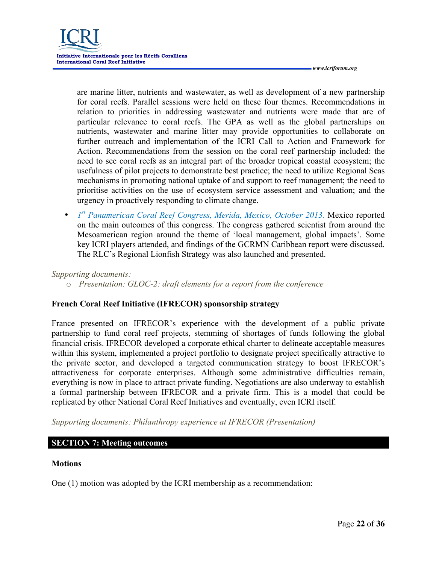are marine litter, nutrients and wastewater, as well as development of a new partnership for coral reefs. Parallel sessions were held on these four themes. Recommendations in relation to priorities in addressing wastewater and nutrients were made that are of particular relevance to coral reefs. The GPA as well as the global partnerships on nutrients, wastewater and marine litter may provide opportunities to collaborate on further outreach and implementation of the ICRI Call to Action and Framework for Action. Recommendations from the session on the coral reef partnership included: the need to see coral reefs as an integral part of the broader tropical coastal ecosystem; the usefulness of pilot projects to demonstrate best practice; the need to utilize Regional Seas mechanisms in promoting national uptake of and support to reef management; the need to prioritise activities on the use of ecosystem service assessment and valuation; and the urgency in proactively responding to climate change.

• *1<sup>st</sup> Panamerican Coral Reef Congress, Merida, Mexico, October 2013.* Mexico reported on the main outcomes of this congress. The congress gathered scientist from around the Mesoamerican region around the theme of 'local management, global impacts'. Some key ICRI players attended, and findings of the GCRMN Caribbean report were discussed. The RLC's Regional Lionfish Strategy was also launched and presented.

## *Supporting documents:*

o *Presentation: GLOC-2: draft elements for a report from the conference* 

## **French Coral Reef Initiative (IFRECOR) sponsorship strategy**

France presented on IFRECOR's experience with the development of a public private partnership to fund coral reef projects, stemming of shortages of funds following the global financial crisis. IFRECOR developed a corporate ethical charter to delineate acceptable measures within this system, implemented a project portfolio to designate project specifically attractive to the private sector, and developed a targeted communication strategy to boost IFRECOR's attractiveness for corporate enterprises. Although some administrative difficulties remain, everything is now in place to attract private funding. Negotiations are also underway to establish a formal partnership between IFRECOR and a private firm. This is a model that could be replicated by other National Coral Reef Initiatives and eventually, even ICRI itself.

*Supporting documents: Philanthropy experience at IFRECOR (Presentation)*

## **SECTION 7: Meeting outcomes**

#### **Motions**

One (1) motion was adopted by the ICRI membership as a recommendation: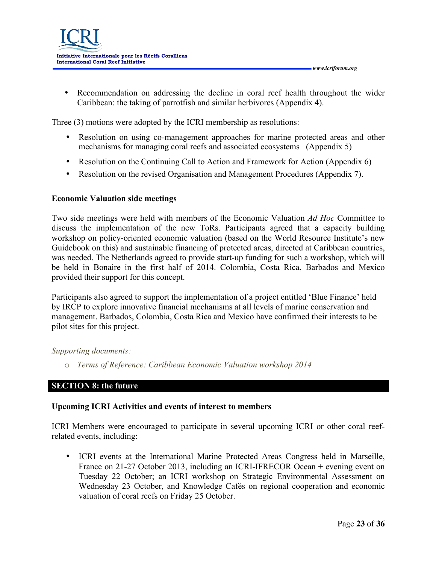• Recommendation on addressing the decline in coral reef health throughout the wider Caribbean: the taking of parrotfish and similar herbivores (Appendix 4).

Three (3) motions were adopted by the ICRI membership as resolutions:

- Resolution on using co-management approaches for marine protected areas and other mechanisms for managing coral reefs and associated ecosystems (Appendix 5)
- Resolution on the Continuing Call to Action and Framework for Action (Appendix 6)
- Resolution on the revised Organisation and Management Procedures (Appendix 7).

## **Economic Valuation side meetings**

Two side meetings were held with members of the Economic Valuation *Ad Hoc* Committee to discuss the implementation of the new ToRs. Participants agreed that a capacity building workshop on policy-oriented economic valuation (based on the World Resource Institute's new Guidebook on this) and sustainable financing of protected areas, directed at Caribbean countries, was needed. The Netherlands agreed to provide start-up funding for such a workshop, which will be held in Bonaire in the first half of 2014. Colombia, Costa Rica, Barbados and Mexico provided their support for this concept.

Participants also agreed to support the implementation of a project entitled 'Blue Finance' held by IRCP to explore innovative financial mechanisms at all levels of marine conservation and management. Barbados, Colombia, Costa Rica and Mexico have confirmed their interests to be pilot sites for this project.

#### *Supporting documents:*

o *Terms of Reference: Caribbean Economic Valuation workshop 2014*

## **SECTION 8: the future**

## **Upcoming ICRI Activities and events of interest to members**

ICRI Members were encouraged to participate in several upcoming ICRI or other coral reefrelated events, including:

• ICRI events at the International Marine Protected Areas Congress held in Marseille, France on 21-27 October 2013, including an ICRI-IFRECOR Ocean + evening event on Tuesday 22 October; an ICRI workshop on Strategic Environmental Assessment on Wednesday 23 October, and Knowledge Cafés on regional cooperation and economic valuation of coral reefs on Friday 25 October.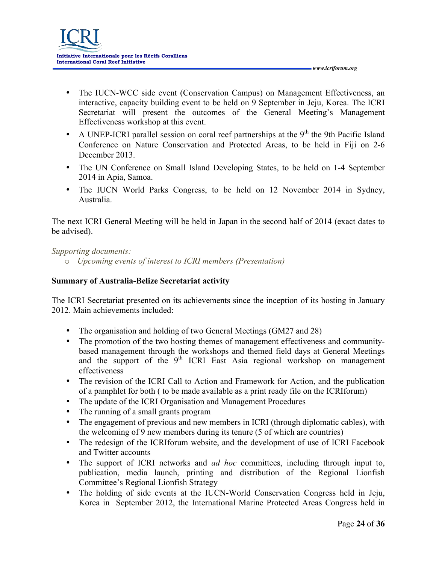• The IUCN-WCC side event (Conservation Campus) on Management Effectiveness, an interactive, capacity building event to be held on 9 September in Jeju, Korea. The ICRI Secretariat will present the outcomes of the General Meeting's Management Effectiveness workshop at this event.

 *www.icriforum.org* 

- A UNEP-ICRI parallel session on coral reef partnerships at the  $9<sup>th</sup>$  the 9th Pacific Island Conference on Nature Conservation and Protected Areas, to be held in Fiji on 2-6 December 2013.
- The UN Conference on Small Island Developing States, to be held on 1-4 September 2014 in Apia, Samoa.
- The IUCN World Parks Congress, to be held on 12 November 2014 in Sydney, Australia.

The next ICRI General Meeting will be held in Japan in the second half of 2014 (exact dates to be advised).

*Supporting documents:* 

o *Upcoming events of interest to ICRI members (Presentation)*

# **Summary of Australia-Belize Secretariat activity**

The ICRI Secretariat presented on its achievements since the inception of its hosting in January 2012. Main achievements included:

- The organisation and holding of two General Meetings (GM27 and 28)
- The promotion of the two hosting themes of management effectiveness and communitybased management through the workshops and themed field days at General Meetings and the support of the  $9<sup>th</sup>$  ICRI East Asia regional workshop on management effectiveness
- The revision of the ICRI Call to Action and Framework for Action, and the publication of a pamphlet for both ( to be made available as a print ready file on the ICRIforum)
- The update of the ICRI Organisation and Management Procedures
- The running of a small grants program
- The engagement of previous and new members in ICRI (through diplomatic cables), with the welcoming of 9 new members during its tenure (5 of which are countries)
- The redesign of the ICRIforum website, and the development of use of ICRI Facebook and Twitter accounts
- The support of ICRI networks and *ad hoc* committees, including through input to, publication, media launch, printing and distribution of the Regional Lionfish Committee's Regional Lionfish Strategy
- The holding of side events at the IUCN-World Conservation Congress held in Jeju, Korea in September 2012, the International Marine Protected Areas Congress held in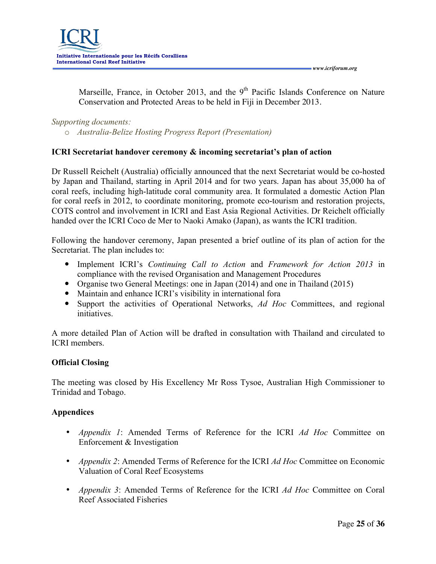Marseille, France, in October 2013, and the  $9<sup>th</sup>$  Pacific Islands Conference on Nature Conservation and Protected Areas to be held in Fiji in December 2013.

*Supporting documents:* 

o *Australia-Belize Hosting Progress Report (Presentation)*

# **ICRI Secretariat handover ceremony & incoming secretariat's plan of action**

Dr Russell Reichelt (Australia) officially announced that the next Secretariat would be co-hosted by Japan and Thailand, starting in April 2014 and for two years. Japan has about 35,000 ha of coral reefs, including high-latitude coral community area. It formulated a domestic Action Plan for coral reefs in 2012, to coordinate monitoring, promote eco-tourism and restoration projects, COTS control and involvement in ICRI and East Asia Regional Activities. Dr Reichelt officially handed over the ICRI Coco de Mer to Naoki Amako (Japan), as wants the ICRI tradition.

Following the handover ceremony, Japan presented a brief outline of its plan of action for the Secretariat. The plan includes to:

- Implement ICRI's *Continuing Call to Action* and *Framework for Action 2013* in compliance with the revised Organisation and Management Procedures
- Organise two General Meetings: one in Japan (2014) and one in Thailand (2015)
- Maintain and enhance ICRI's visibility in international fora
- Support the activities of Operational Networks, *Ad Hoc* Committees, and regional initiatives.

A more detailed Plan of Action will be drafted in consultation with Thailand and circulated to ICRI members.

# **Official Closing**

The meeting was closed by His Excellency Mr Ross Tysoe, Australian High Commissioner to Trinidad and Tobago.

# **Appendices**

- *Appendix 1*: Amended Terms of Reference for the ICRI *Ad Hoc* Committee on Enforcement & Investigation
- *Appendix 2*: Amended Terms of Reference for the ICRI *Ad Hoc* Committee on Economic Valuation of Coral Reef Ecosystems
- *Appendix 3*: Amended Terms of Reference for the ICRI *Ad Hoc* Committee on Coral Reef Associated Fisheries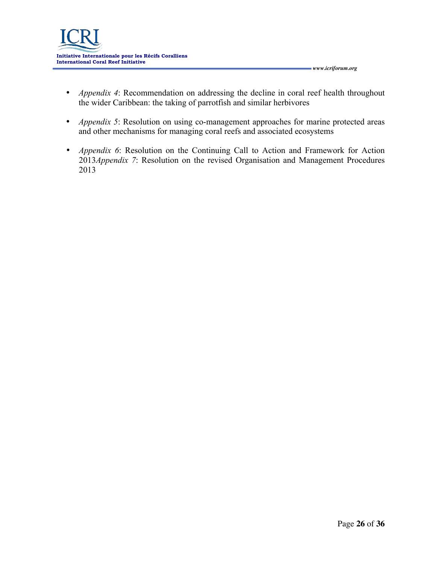- *Appendix 4*: Recommendation on addressing the decline in coral reef health throughout the wider Caribbean: the taking of parrotfish and similar herbivores
- *Appendix 5*: Resolution on using co-management approaches for marine protected areas and other mechanisms for managing coral reefs and associated ecosystems
- *Appendix 6*: Resolution on the Continuing Call to Action and Framework for Action 2013*Appendix 7*: Resolution on the revised Organisation and Management Procedures 2013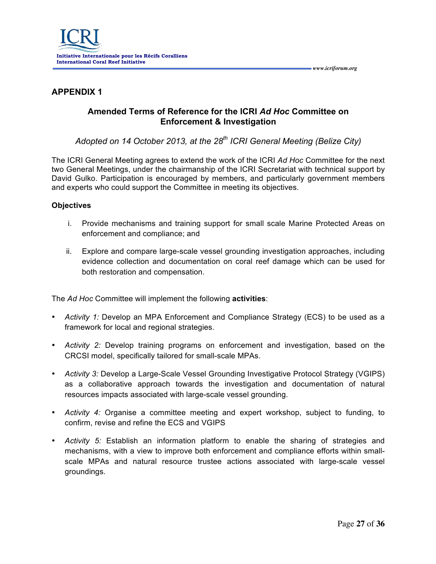

# **APPENDIX 1**

# **Amended Terms of Reference for the ICRI** *Ad Hoc* **Committee on Enforcement & Investigation**

*Adopted on 14 October 2013, at the 28th ICRI General Meeting (Belize City)*

The ICRI General Meeting agrees to extend the work of the ICRI *Ad Hoc* Committee for the next two General Meetings, under the chairmanship of the ICRI Secretariat with technical support by David Gulko. Participation is encouraged by members, and particularly government members and experts who could support the Committee in meeting its objectives.

#### **Objectives**

- i. Provide mechanisms and training support for small scale Marine Protected Areas on enforcement and compliance; and
- ii. Explore and compare large-scale vessel grounding investigation approaches, including evidence collection and documentation on coral reef damage which can be used for both restoration and compensation.

The *Ad Hoc* Committee will implement the following **activities**:

- *Activity 1:* Develop an MPA Enforcement and Compliance Strategy (ECS) to be used as a framework for local and regional strategies.
- *Activity 2:* Develop training programs on enforcement and investigation, based on the CRCSI model, specifically tailored for small-scale MPAs.
- *Activity 3:* Develop a Large-Scale Vessel Grounding Investigative Protocol Strategy (VGIPS) as a collaborative approach towards the investigation and documentation of natural resources impacts associated with large-scale vessel grounding.
- *Activity 4:* Organise a committee meeting and expert workshop, subject to funding, to confirm, revise and refine the ECS and VGIPS
- *Activity 5:* Establish an information platform to enable the sharing of strategies and mechanisms, with a view to improve both enforcement and compliance efforts within smallscale MPAs and natural resource trustee actions associated with large-scale vessel groundings.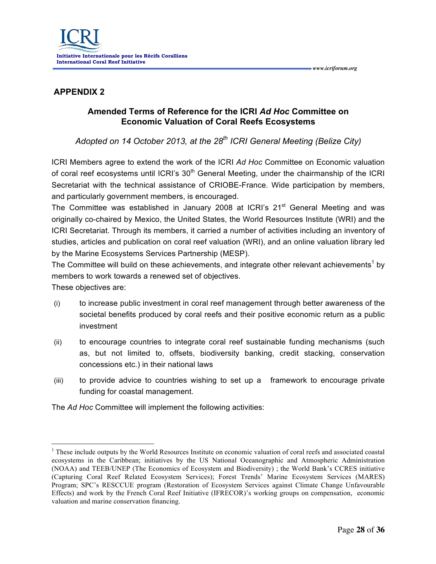# **APPENDIX 2**

# **Amended Terms of Reference for the ICRI** *Ad Hoc* **Committee on Economic Valuation of Coral Reefs Ecosystems**

# *Adopted on 14 October 2013, at the 28th ICRI General Meeting (Belize City)*

ICRI Members agree to extend the work of the ICRI *Ad Hoc* Committee on Economic valuation of coral reef ecosystems until ICRI's 30<sup>th</sup> General Meeting, under the chairmanship of the ICRI Secretariat with the technical assistance of CRIOBE-France. Wide participation by members, and particularly government members, is encouraged.

The Committee was established in January 2008 at ICRI's 21<sup>st</sup> General Meeting and was originally co-chaired by Mexico, the United States, the World Resources Institute (WRI) and the ICRI Secretariat. Through its members, it carried a number of activities including an inventory of studies, articles and publication on coral reef valuation (WRI), and an online valuation library led by the Marine Ecosystems Services Partnership (MESP).

The Committee will build on these achievements, and integrate other relevant achievements<sup>1</sup> by members to work towards a renewed set of objectives.

These objectives are:

- (i) to increase public investment in coral reef management through better awareness of the societal benefits produced by coral reefs and their positive economic return as a public investment
- (ii) to encourage countries to integrate coral reef sustainable funding mechanisms (such as, but not limited to, offsets, biodiversity banking, credit stacking, conservation concessions etc.) in their national laws
- (iii) to provide advice to countries wishing to set up a framework to encourage private funding for coastal management.

The *Ad Hoc* Committee will implement the following activities:

<sup>&</sup>lt;sup>1</sup> These include outputs by the World Resources Institute on economic valuation of coral reefs and associated coastal ecosystems in the Caribbean; initiatives by the US National Oceanographic and Atmospheric Administration (NOAA) and TEEB/UNEP (The Economics of Ecosystem and Biodiversity) ; the World Bank's CCRES initiative (Capturing Coral Reef Related Ecosystem Services); Forest Trends' Marine Ecosystem Services (MARES) Program; SPC's RESCCUE program (Restoration of Ecosystem Services against Climate Change Unfavourable Effects) and work by the French Coral Reef Initiative (IFRECOR)'s working groups on compensation, economic valuation and marine conservation financing.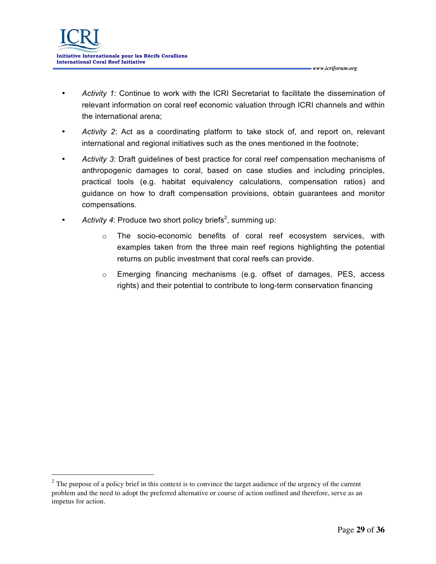- *Activity 1*: Continue to work with the ICRI Secretariat to facilitate the dissemination of relevant information on coral reef economic valuation through ICRI channels and within the international arena;
- *Activity 2*: Act as a coordinating platform to take stock of, and report on, relevant international and regional initiatives such as the ones mentioned in the footnote;
- *Activity 3*: Draft guidelines of best practice for coral reef compensation mechanisms of anthropogenic damages to coral, based on case studies and including principles, practical tools (e.g. habitat equivalency calculations, compensation ratios) and guidance on how to draft compensation provisions, obtain guarantees and monitor compensations.
- Activity 4: Produce two short policy briefs<sup>2</sup>, summing up:
	- o The socio-economic benefits of coral reef ecosystem services, with examples taken from the three main reef regions highlighting the potential returns on public investment that coral reefs can provide.
	- $\circ$  Emerging financing mechanisms (e.g. offset of damages, PES, access rights) and their potential to contribute to long-term conservation financing

<sup>&</sup>lt;sup>2</sup> The purpose of a policy brief in this context is to convince the target audience of the urgency of the current problem and the need to adopt the preferred alternative or course of action outlined and therefore, serve as an impetus for action.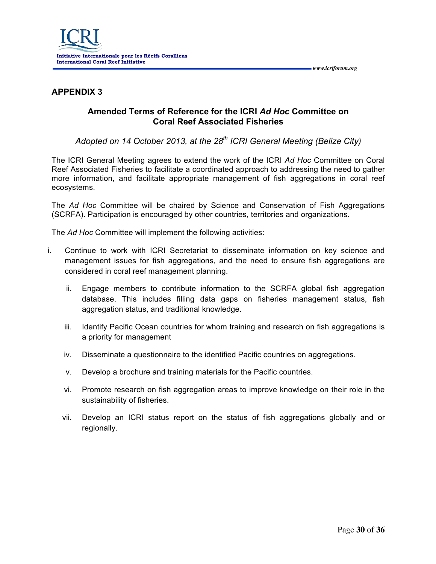

# **APPENDIX 3**

# **Amended Terms of Reference for the ICRI** *Ad Hoc* **Committee on Coral Reef Associated Fisheries**

*Adopted on 14 October 2013, at the 28th ICRI General Meeting (Belize City)*

The ICRI General Meeting agrees to extend the work of the ICRI *Ad Hoc* Committee on Coral Reef Associated Fisheries to facilitate a coordinated approach to addressing the need to gather more information, and facilitate appropriate management of fish aggregations in coral reef ecosystems.

The *Ad Hoc* Committee will be chaired by Science and Conservation of Fish Aggregations (SCRFA). Participation is encouraged by other countries, territories and organizations.

The *Ad Hoc* Committee will implement the following activities:

- i. Continue to work with ICRI Secretariat to disseminate information on key science and management issues for fish aggregations, and the need to ensure fish aggregations are considered in coral reef management planning.
	- ii. Engage members to contribute information to the SCRFA global fish aggregation database. This includes filling data gaps on fisheries management status, fish aggregation status, and traditional knowledge.
	- iii. Identify Pacific Ocean countries for whom training and research on fish aggregations is a priority for management
	- iv. Disseminate a questionnaire to the identified Pacific countries on aggregations.
	- v. Develop a brochure and training materials for the Pacific countries.
	- vi. Promote research on fish aggregation areas to improve knowledge on their role in the sustainability of fisheries.
	- vii. Develop an ICRI status report on the status of fish aggregations globally and or regionally.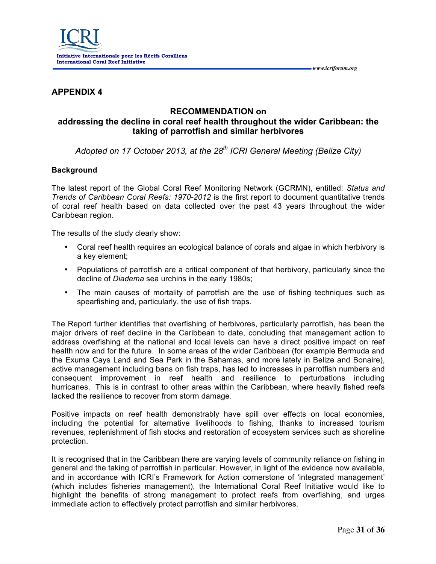

## **APPENDIX 4**

## **RECOMMENDATION on addressing the decline in coral reef health throughout the wider Caribbean: the taking of parrotfish and similar herbivores**

*Adopted on 17 October 2013, at the 28th ICRI General Meeting (Belize City)*

#### **Background**

The latest report of the Global Coral Reef Monitoring Network (GCRMN), entitled: *Status and Trends of Caribbean Coral Reefs: 1970-2012* is the first report to document quantitative trends of coral reef health based on data collected over the past 43 years throughout the wider Caribbean region.

The results of the study clearly show:

- Coral reef health requires an ecological balance of corals and algae in which herbivory is a key element;
- Populations of parrotfish are a critical component of that herbivory, particularly since the decline of *Diadema* sea urchins in the early 1980s;
- The main causes of mortality of parrotfish are the use of fishing techniques such as spearfishing and, particularly, the use of fish traps.

The Report further identifies that overfishing of herbivores, particularly parrotfish, has been the major drivers of reef decline in the Caribbean to date, concluding that management action to address overfishing at the national and local levels can have a direct positive impact on reef health now and for the future. In some areas of the wider Caribbean (for example Bermuda and the Exuma Cays Land and Sea Park in the Bahamas, and more lately in Belize and Bonaire), active management including bans on fish traps, has led to increases in parrotfish numbers and consequent improvement in reef health and resilience to perturbations including hurricanes. This is in contrast to other areas within the Caribbean, where heavily fished reefs lacked the resilience to recover from storm damage.

Positive impacts on reef health demonstrably have spill over effects on local economies, including the potential for alternative livelihoods to fishing, thanks to increased tourism revenues, replenishment of fish stocks and restoration of ecosystem services such as shoreline protection.

It is recognised that in the Caribbean there are varying levels of community reliance on fishing in general and the taking of parrotfish in particular. However, in light of the evidence now available, and in accordance with ICRI's Framework for Action cornerstone of 'integrated management' (which includes fisheries management), the International Coral Reef Initiative would like to highlight the benefits of strong management to protect reefs from overfishing, and urges immediate action to effectively protect parrotfish and similar herbivores.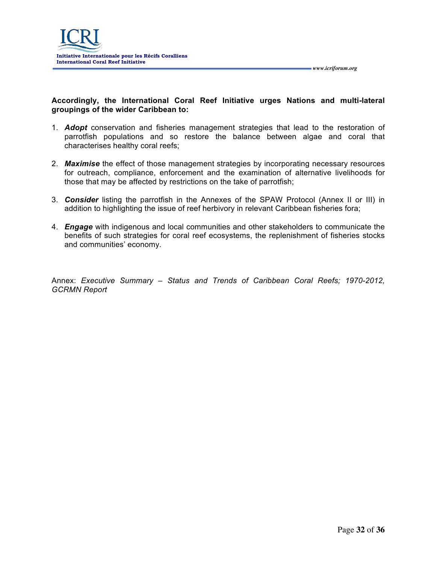

**Accordingly, the International Coral Reef Initiative urges Nations and multi-lateral groupings of the wider Caribbean to:** 

- 1. *Adopt* conservation and fisheries management strategies that lead to the restoration of parrotfish populations and so restore the balance between algae and coral that characterises healthy coral reefs;
- 2. *Maximise* the effect of those management strategies by incorporating necessary resources for outreach, compliance, enforcement and the examination of alternative livelihoods for those that may be affected by restrictions on the take of parrotfish;
- 3. *Consider* listing the parrotfish in the Annexes of the SPAW Protocol (Annex II or III) in addition to highlighting the issue of reef herbivory in relevant Caribbean fisheries fora;
- 4. *Engage* with indigenous and local communities and other stakeholders to communicate the benefits of such strategies for coral reef ecosystems, the replenishment of fisheries stocks and communities' economy.

Annex: *Executive Summary – Status and Trends of Caribbean Coral Reefs; 1970-2012, GCRMN Report*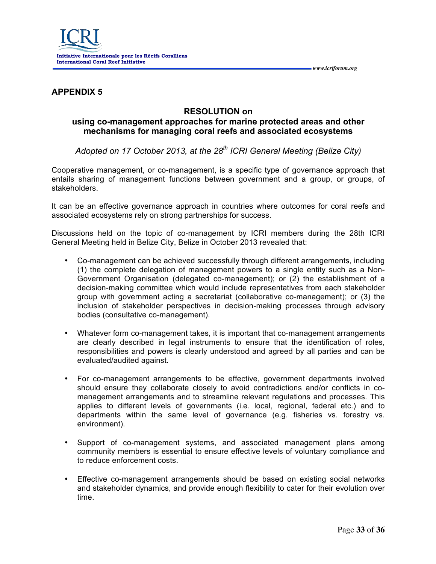

## **APPENDIX 5**

## **RESOLUTION on**

## **using co-management approaches for marine protected areas and other mechanisms for managing coral reefs and associated ecosystems**

*Adopted on 17 October 2013, at the 28th ICRI General Meeting (Belize City)*

Cooperative management, or co-management, is a specific type of governance approach that entails sharing of management functions between government and a group, or groups, of stakeholders.

It can be an effective governance approach in countries where outcomes for coral reefs and associated ecosystems rely on strong partnerships for success.

Discussions held on the topic of co-management by ICRI members during the 28th ICRI General Meeting held in Belize City, Belize in October 2013 revealed that:

- Co-management can be achieved successfully through different arrangements, including (1) the complete delegation of management powers to a single entity such as a Non-Government Organisation (delegated co-management); or (2) the establishment of a decision-making committee which would include representatives from each stakeholder group with government acting a secretariat (collaborative co-management); or (3) the inclusion of stakeholder perspectives in decision-making processes through advisory bodies (consultative co-management).
- Whatever form co-management takes, it is important that co-management arrangements are clearly described in legal instruments to ensure that the identification of roles, responsibilities and powers is clearly understood and agreed by all parties and can be evaluated/audited against.
- For co-management arrangements to be effective, government departments involved should ensure they collaborate closely to avoid contradictions and/or conflicts in comanagement arrangements and to streamline relevant regulations and processes. This applies to different levels of governments (i.e. local, regional, federal etc.) and to departments within the same level of governance (e.g. fisheries vs. forestry vs. environment).
- Support of co-management systems, and associated management plans among community members is essential to ensure effective levels of voluntary compliance and to reduce enforcement costs.
- Effective co-management arrangements should be based on existing social networks and stakeholder dynamics, and provide enough flexibility to cater for their evolution over time.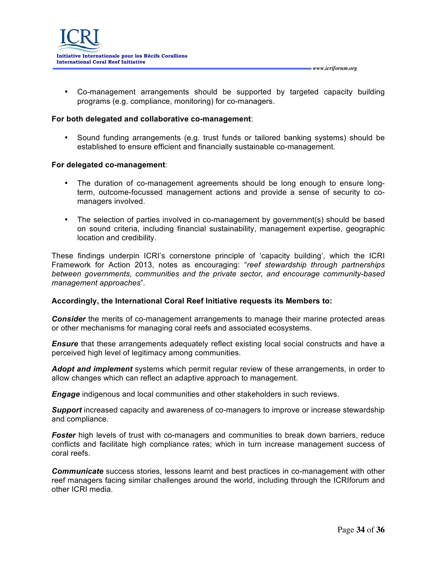

• Co-management arrangements should be supported by targeted capacity building programs (e.g. compliance, monitoring) for co-managers.

#### **For both delegated and collaborative co-management**:

• Sound funding arrangements (e.g. trust funds or tailored banking systems) should be established to ensure efficient and financially sustainable co-management.

#### **For delegated co-management**:

- The duration of co-management agreements should be long enough to ensure longterm, outcome-focussed management actions and provide a sense of security to comanagers involved.
- The selection of parties involved in co-management by government(s) should be based on sound criteria, including financial sustainability, management expertise, geographic location and credibility.

These findings underpin ICRI's cornerstone principle of 'capacity building', which the ICRI Framework for Action 2013, notes as encouraging: "*reef stewardship through partnerships between governments, communities and the private sector, and encourage community-based management approaches*".

#### **Accordingly, the International Coral Reef Initiative requests its Members to:**

*Consider* the merits of co-management arrangements to manage their marine protected areas or other mechanisms for managing coral reefs and associated ecosystems.

**Ensure** that these arrangements adequately reflect existing local social constructs and have a perceived high level of legitimacy among communities.

*Adopt and implement* systems which permit regular review of these arrangements, in order to allow changes which can reflect an adaptive approach to management.

*Engage* indigenous and local communities and other stakeholders in such reviews.

*Support* increased capacity and awareness of co-managers to improve or increase stewardship and compliance.

**Foster** high levels of trust with co-managers and communities to break down barriers, reduce conflicts and facilitate high compliance rates; which in turn increase management success of coral reefs.

*Communicate* success stories, lessons learnt and best practices in co-management with other reef managers facing similar challenges around the world, including through the ICRIforum and other ICRI media.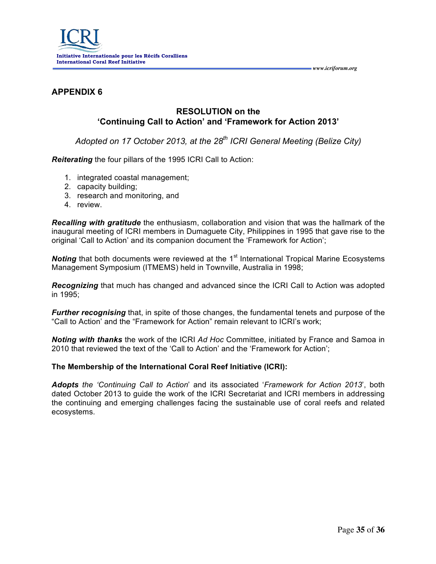

# **APPENDIX 6**

## **RESOLUTION on the 'Continuing Call to Action' and 'Framework for Action 2013'**

*Adopted on 17 October 2013, at the 28th ICRI General Meeting (Belize City)*

*Reiterating* the four pillars of the 1995 ICRI Call to Action:

- 1. integrated coastal management;
- 2. capacity building;
- 3. research and monitoring, and
- 4. review.

*Recalling with gratitude* the enthusiasm, collaboration and vision that was the hallmark of the inaugural meeting of ICRI members in Dumaguete City, Philippines in 1995 that gave rise to the original 'Call to Action' and its companion document the 'Framework for Action';

**Noting** that both documents were reviewed at the 1<sup>st</sup> International Tropical Marine Ecosystems Management Symposium (ITMEMS) held in Townville, Australia in 1998;

*Recognizing* that much has changed and advanced since the ICRI Call to Action was adopted in 1995;

*Further recognising* that, in spite of those changes, the fundamental tenets and purpose of the "Call to Action' and the "Framework for Action" remain relevant to ICRI's work;

*Noting with thanks* the work of the ICRI *Ad Hoc* Committee, initiated by France and Samoa in 2010 that reviewed the text of the 'Call to Action' and the 'Framework for Action';

#### **The Membership of the International Coral Reef Initiative (ICRI):**

*Adopts the 'Continuing Call to Action*' and its associated '*Framework for Action 2013*', both dated October 2013 to guide the work of the ICRI Secretariat and ICRI members in addressing the continuing and emerging challenges facing the sustainable use of coral reefs and related ecosystems.